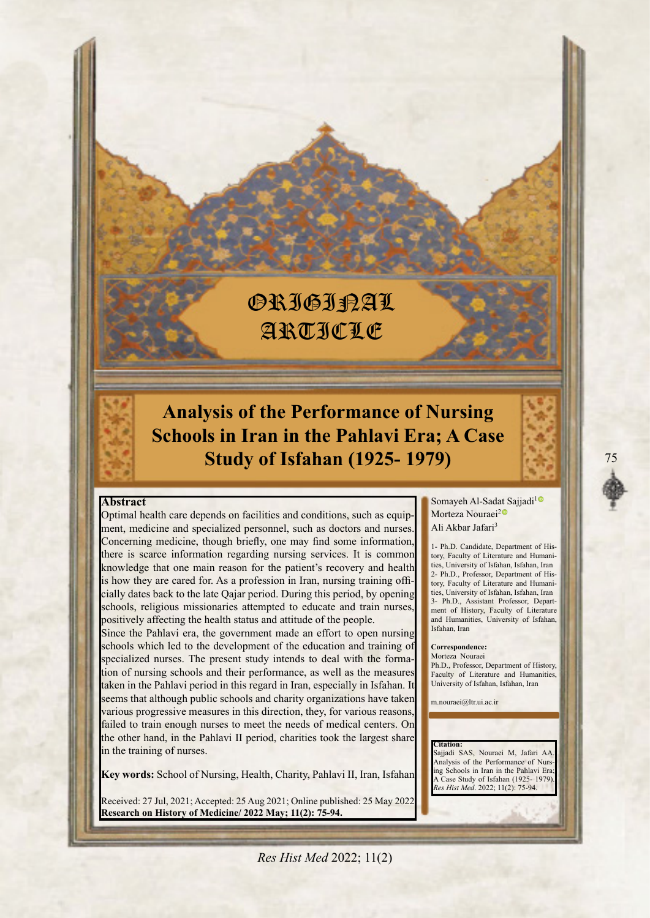# **ORIGIRAL** ARTICLE

**Analysis of the Performance of Nursing Schools in Iran in the Pahlavi Era; A Case Study of Isfahan (1925-1979)** 

#### **Abstract**

ment, medicine and specialized personnel, such as doctors and nurses. Optimal health care depends on facilities and conditions, such as equip-Concerning medicine, though briefly, one may find some information, there is scarce information regarding nursing services. It is common knowledge that one main reason for the patient's recovery and health cially dates back to the late Qajar period. During this period, by opening is how they are cared for. As a profession in Iran, nursing training offischools, religious missionaries attempted to educate and train nurses positively affecting the health status and attitude of the people.

Since the Pahlavi era, the government made an effort to open nursing schools which led to the development of the education and training of specialized nurses. The present study intends to deal with the forma-<br>tion of nursing schools and their performance, as well as the measures taken in the Pahlavi period in this regard in Iran, especially in Isfahan. I seems that although public schools and charity organizations have taken various progressive measures in this direction, they, for various reasons, failed to train enough nurses to meet the needs of medical centers. On the other hand, in the Pahlavi II period, charities took the largest share in the training of nurses.

Key words: School of Nursing, Health, Charity, Pahlavi II, Iran, Isfahan

Received: 27 Jul, 2021; Accepted: 25 Aug 2021; Online published: 25 May 2022 **Research on History of Medicine/ 2022 May; 11(2): 75-94.** 

Somayeh Al-Sadat Sajjadi<sup>[1](https://orcid.org/0000-0001-6493-7327)</sup> Morteza Nouraei<sup>[2](https://orcid.org/0000-0002-9521-2529)C</sup> Ali Akbar Jafari<sup>3</sup>

ties, University of Isfahan, Isfahan, Iran tory, Faculty of Literature and Humani-1- Ph.D. Candidate, Department of Histies, University of Isfahan, Isfahan, Iran tory, Faculty of Literature and Humani-2- Ph.D., Professor, Department of Hisment of History, Faculty of Literature 3- Ph.D., Assistant Professor, Departand Humanities. University of Isfahan. Isfahan, Iran

Correspondence: Morteza Nouraei Ph.D. Professor Department of History

Faculty of Literature and Humanities, University of Isfahan, Isfahan, Iran

m.nouraei@ltr.ui.ac.ii

 **:Citation** Sajjadi SAS, Nouraei M, Jafari AA ing Schools in Iran in the Pahlavi Era Analysis of the Performance of Nurs-A Case Study of Isfahan (1925-1979).<br>*Res Hist Med.* 2022; 11(2): 75-94.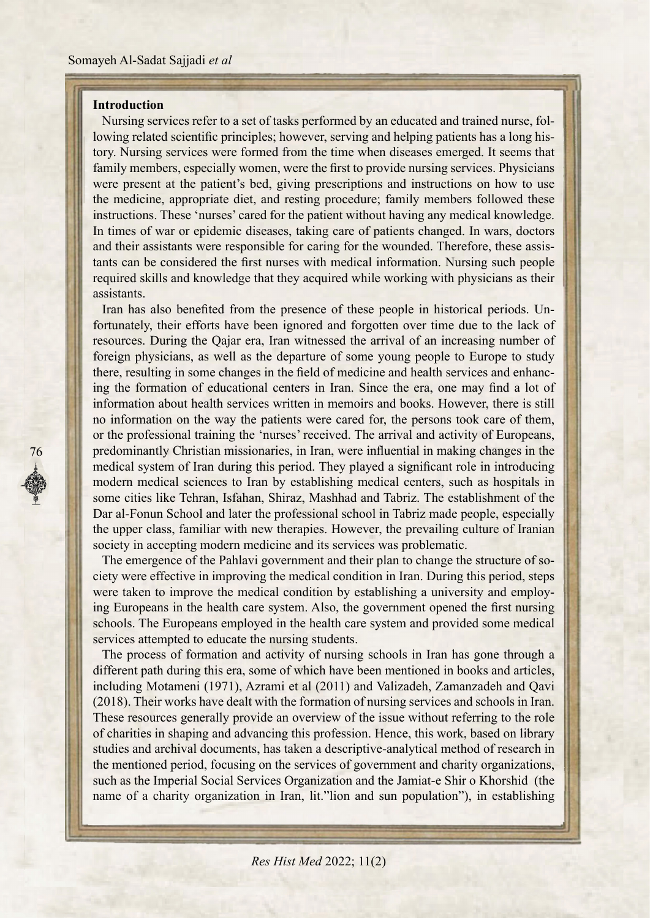# **Introduction**

76

tory. Nursing services were formed from the time when diseases emerged. It seems that lowing related scientific principles; however, serving and helping patients has a long his-Nursing services refer to a set of tasks performed by an educated and trained nurse, folfamily members, especially women, were the first to provide nursing services. Physicians were present at the patient's bed, giving prescriptions and instructions on how to use the medicine, appropriate diet, and resting procedure; family members followed these instructions. These 'nurses' cared for the patient without having any medical knowledge. In times of war or epidemic diseases, taking care of patients changed. In wars, doctors tants can be considered the first nurses with medical information. Nursing such people and their assistants were responsible for caring for the wounded. Therefore, these assisrequired skills and knowledge that they acquired while working with physicians as their .assistants

fortunately, their efforts have been ignored and forgotten over time due to the lack of Iran has also benefited from the presence of these people in historical periods. Unresources. During the Qajar era, Iran witnessed the arrival of an increasing number of foreign physicians, as well as the departure of some young people to Europe to study ing the formation of educational centers in Iran. Since the era, one may find a lot of there, resulting in some changes in the field of medicine and health services and enhancinformation about health services written in memoirs and books. However, there is still no information on the way the patients were cared for, the persons took care of them, or the professional training the 'nurses' received. The arrival and activity of Europeans, predominantly Christian missionaries, in Iran, were influential in making changes in the medical system of Iran during this period. They played a significant role in introducing modern medical sciences to Iran by establishing medical centers, such as hospitals in some cities like Tehran, Isfahan, Shiraz, Mashhad and Tabriz. The establishment of the Dar al-Fonun School and later the professional school in Tabriz made people, especially the upper class, familiar with new therapies. However, the prevailing culture of Iranian society in accepting modern medicine and its services was problematic.

ciety were effective in improving the medical condition in Iran. During this period, steps The emergence of the Pahlavi government and their plan to change the structure of soing Europeans in the health care system. Also, the government opened the first nursing were taken to improve the medical condition by establishing a university and employschools. The Europeans employed in the health care system and provided some medical services attempted to educate the nursing students.

The process of formation and activity of nursing schools in Iran has gone through a different path during this era, some of which have been mentioned in books and articles, including Motameni (1971), Azrami et al (2011) and Valizadeh, Zamanzadeh and Qavi (2018). Their works have dealt with the formation of nursing services and schools in Iran. These resources generally provide an overview of the issue without referring to the role of charities in shaping and advancing this profession. Hence, this work, based on library studies and archival documents, has taken a descriptive-analytical method of research in the mentioned period, focusing on the services of government and charity organizations, such as the Imperial Social Services Organization and the Jamiat-e-Shir o Khorshid (the name of a charity organization in Iran, lit "lion and sun population"), in establishing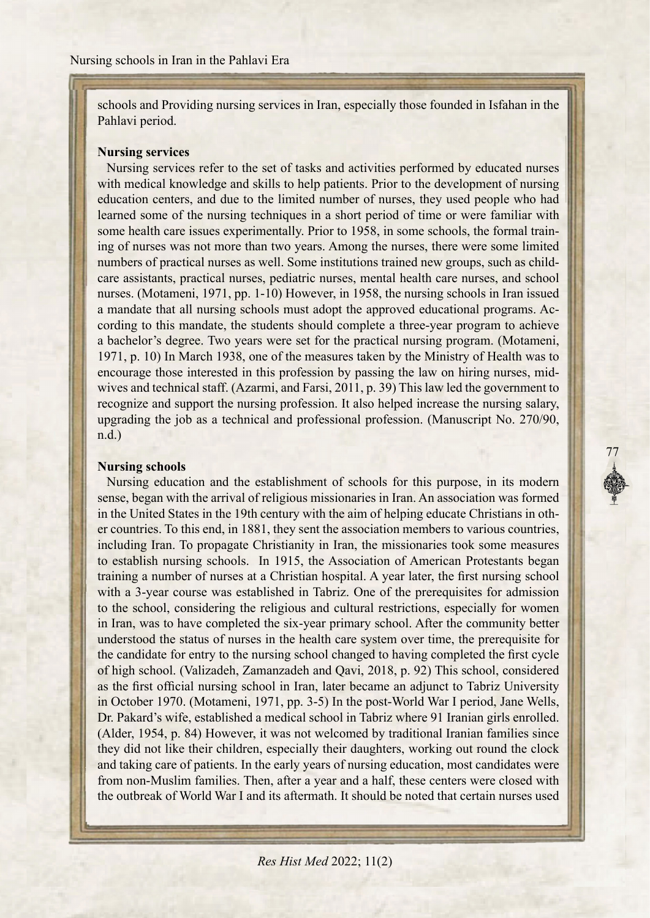schools and Providing nursing services in Iran, especially those founded in Isfahan in the Pahlavi period.

## **Nursing** services

Nursing services refer to the set of tasks and activities performed by educated nurses with medical knowledge and skills to help patients. Prior to the development of nursing education centers, and due to the limited number of nurses, they used people who had learned some of the nursing techniques in a short period of time or were familiar with ing of nurses was not more than two years. Among the nurses, there were some limited some health care issues experimentally. Prior to 1958, in some schools, the formal traincare assistants, practical nurses, pediatric nurses, mental health care nurses, and school numbers of practical nurses as well. Some institutions trained new groups, such as childnurses. (Motameni, 1971, pp. 1-10) However, in 1958, the nursing schools in Iran issued cording to this mandate, the students should complete a three-year program to achieve a mandate that all nursing schools must adopt the approved educational programs. Aca bachelor's degree. Two years were set for the practical nursing program. (Motameni, 1971, p. 10) In March 1938, one of the measures taken by the Ministry of Health was to wives and technical staff. (Azarmi, and Farsi, 2011, p. 39) This law led the government to encourage those interested in this profession by passing the law on hiring nurses, midrecognize and support the nursing profession. It also helped increase the nursing salary, upgrading the job as a technical and professional profession. (Manuscript No. 270/90,  $n.d.$ )

77

# **Nursing** schools

Nursing education and the establishment of schools for this purpose, in its modern sense, began with the arrival of religious missionaries in Iran. An association was formed er countries. To this end, in 1881, they sent the association members to various countries, in the United States in the 19th century with the aim of helping educate Christians in othincluding Iran. To propagate Christianity in Iran, the missionaries took some measures to establish nursing schools. In 1915, the Association of American Protestants began training a number of nurses at a Christian hospital. A year later, the first nursing school with a 3-year course was established in Tabriz. One of the prerequisites for admission to the school, considering the religious and cultural restrictions, especially for women in Iran, was to have completed the six-year primary school. After the community better understood the status of nurses in the health care system over time, the prerequisite for the candidate for entry to the nursing school changed to having completed the first cycle of high school. (Valizadeh, Zamanzadeh and Qavi, 2018, p. 92) This school, considered as the first official nursing school in Iran, later became an adjunct to Tabriz University in October 1970. (Motameni, 1971, pp. 3-5) In the post-World-War I period, Jane Wells, Dr. Pakard's wife, established a medical school in Tabriz where 91 Iranian girls enrolled. (Alder, 1954, p. 84) However, it was not welcomed by traditional Iranian families since they did not like their children, especially their daughters, working out round the clock and taking care of patients. In the early years of nursing education, most candidates were from non-Muslim families. Then, after a year and a half, these centers were closed with the outbreak of World War I and its aftermath. It should be noted that certain nurses used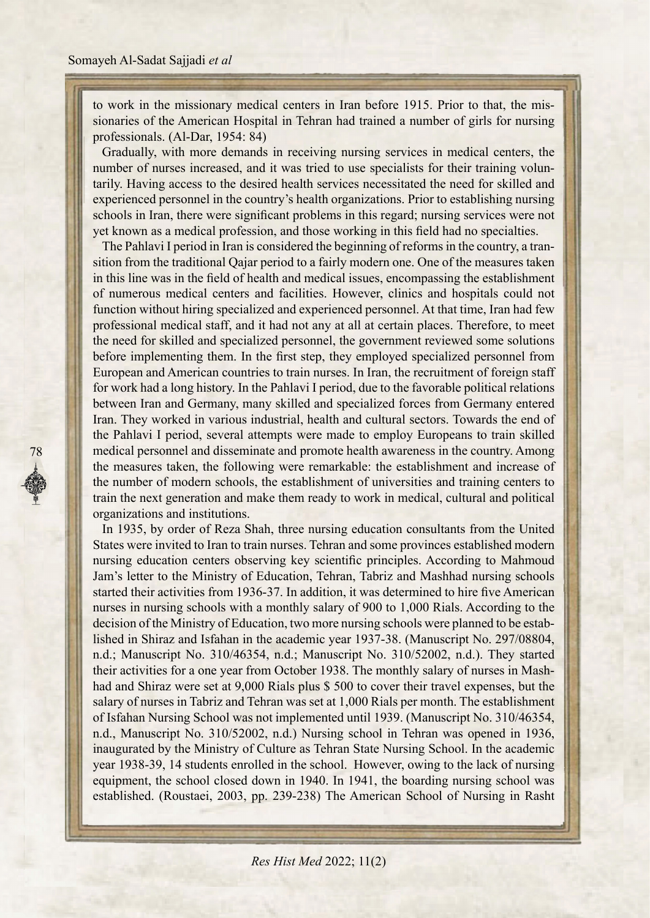sionaries of the American Hospital in Tehran had trained a number of girls for nursing to work in the missionary medical centers in Iran before 1915. Prior to that, the misprofessionals.  $(A1-Dar, 1954: 84)$ 

Gradually, with more demands in receiving nursing services in medical centers, the tarily. Having access to the desired health services necessitated the need for skilled and number of nurses increased, and it was tried to use specialists for their training volunexperienced personnel in the country's health organizations. Prior to establishing nursing schools in Iran, there were significant problems in this regard; nursing services were not yet known as a medical profession, and those working in this field had no specialties.

sition from the traditional Qajar period to a fairly modern one. One of the measures taken The Pahlavi I period in Iran is considered the beginning of reforms in the country, a tranin this line was in the field of health and medical issues, encompassing the establishment of numerous medical centers and facilities. However, clinics and hospitals could not function without hiring specialized and experienced personnel. At that time, Iran had few professional medical staff, and it had not any at all at certain places. Therefore, to meet the need for skilled and specialized personnel, the government reviewed some solutions before implementing them. In the first step, they employed specialized personnel from European and American countries to train nurses. In Iran, the recruitment of foreign staff for work had a long history. In the Pahlavi I period, due to the favorable political relations between Iran and Germany, many skilled and specialized forces from Germany entered Iran. They worked in various industrial, health and cultural sectors. Towards the end of the Pahlavi I period, several attempts were made to employ Europeans to train skilled medical personnel and disseminate and promote health awareness in the country. Among the measures taken, the following were remarkable: the establishment and increase of the number of modern schools, the establishment of universities and training centers to train the next generation and make them ready to work in medical, cultural and political organizations and institutions.

In 1935, by order of Reza Shah, three nursing education consultants from the United States were invited to Iran to train nurses. Tehran and some provinces established modern nursing education centers observing key scientific principles. According to Mahmoud Jam's letter to the Ministry of Education, Tehran, Tabriz and Mashhad nursing schools started their activities from 1936-37. In addition, it was determined to hire five American nurses in nursing schools with a monthly salary of 900 to 1,000 Rials. According to the lished in Shiraz and Isfahan in the academic year 1937-38. (Manuscript No. 297/08804, decision of the Ministry of Education, two more nursing schools were planned to be estabn.d.; Manuscript No. 310/46354, n.d.; Manuscript No. 310/52002, n.d.). They started had and Shiraz were set at 9,000 Rials plus \$ 500 to cover their travel expenses, but the their activities for a one year from October 1938. The monthly salary of nurses in Mashsalary of nurses in Tabriz and Tehran was set at 1,000 Rials per month. The establishment of Isfahan Nursing School was not implemented until 1939. (Manuscript No. 310/46354, n.d., Manuscript No. 310/52002, n.d.) Nursing school in Tehran was opened in 1936, inaugurated by the Ministry of Culture as Tehran State Nursing School. In the academic year 1938-39, 14 students enrolled in the school. However, owing to the lack of nursing equipment, the school closed down in 1940. In 1941, the boarding nursing school was established. (Roustaei, 2003, pp. 239-238) The American School of Nursing in Rasht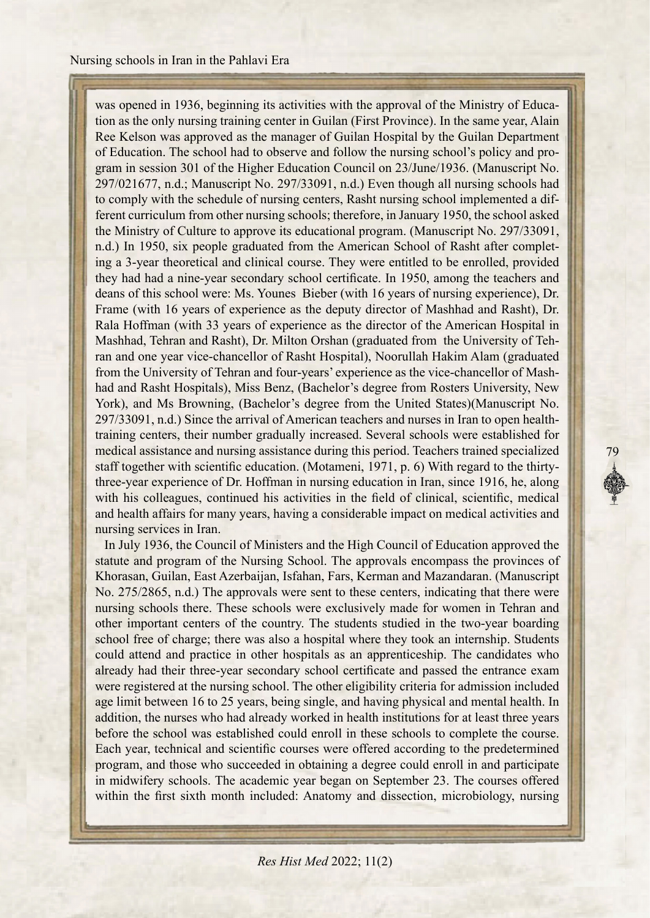tion as the only nursing training center in Guilan (First Province). In the same year, Alain was opened in 1936, beginning its activities with the approval of the Ministry of Educa-Ree Kelson was approved as the manager of Guilan Hospital by the Guilan Department gram in session 301 of the Higher Education Council on 23/June/1936. (Manuscript No. of Education. The school had to observe and follow the nursing school's policy and pro-297/021677, n.d.; Manuscript No. 297/33091, n.d.) Even though all nursing schools had ferent curriculum from other nursing schools; therefore, in January 1950, the school asked to comply with the schedule of nursing centers, Rasht nursing school implemented a difthe Ministry of Culture to approve its educational program. (Manuscript No. 297/33091, ing a 3-year theoretical and clinical course. They were entitled to be enrolled, provided n.d.) In 1950, six people graduated from the American School of Rasht after completthey had had a nine-year secondary school certificate. In 1950, among the teachers and deans of this school were: Ms. Younes Bieber (with 16 years of nursing experience), Dr. Frame (with 16 years of experience as the deputy director of Mashhad and Rasht), Dr. Rala Hoffman (with 33 years of experience as the director of the American Hospital in ran and one year vice-chancellor of Rasht Hospital), Noorullah Hakim Alam (graduated Mashhad, Tehran and Rasht), Dr. Milton Orshan (graduated from the University of Tehhad and Rasht Hospitals), Miss Benz, (Bachelor's degree from Rosters University, New from the University of Tehran and four-years' experience as the vice-chancellor of Mash-York), and Ms Browning, (Bachelor's degree from the United States)(Manuscript No. training centers, their number gradually increased. Several schools were established for 297/33091, n.d.) Since the arrival of American teachers and nurses in Iran to open healthmedical assistance and nursing assistance during this period. Teachers trained specialized three-year experience of Dr. Hoffman in nursing education in Iran, since 1916, he, along staff together with scientific education. (Motameni, 1971, p. 6) With regard to the thirtywith his colleagues, continued his activities in the field of clinical, scientific, medical and health affairs for many years, having a considerable impact on medical activities and nursing services in Iran.

79

In July 1936, the Council of Ministers and the High Council of Education approved the statute and program of the Nursing School. The approvals encompass the provinces of Khorasan, Guilan, East Azerbaijan, Isfahan, Fars, Kerman and Mazandaran. (Manuscript No. 275/2865, n.d.) The approvals were sent to these centers, indicating that there were nursing schools there. These schools were exclusively made for women in Tehran and other important centers of the country. The students studied in the two-year boarding school free of charge; there was also a hospital where they took an internship. Students could attend and practice in other hospitals as an apprenticeship. The candidates who already had their three-year secondary school certificate and passed the entrance examwere registered at the nursing school. The other eligibility criteria for admission included age limit between 16 to 25 years, being single, and having physical and mental health. In addition, the nurses who had already worked in health institutions for at least three years before the school was established could enroll in these schools to complete the course. Each year, technical and scientific courses were offered according to the predetermined program, and those who succeeded in obtaining a degree could enroll in and participate in midwifery schools. The academic year began on September 23. The courses offered within the first sixth month included: Anatomy and dissection, microbiology, nursing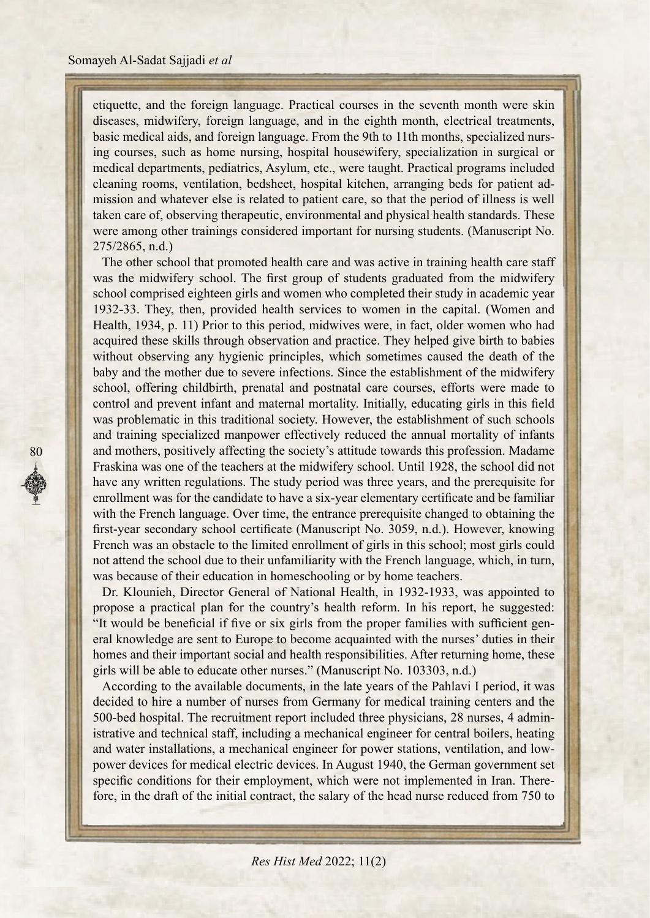etiquette, and the foreign language. Practical courses in the seventh month were skin diseases, midwifery, foreign language, and in the eighth month, electrical treatments, ing courses, such as home nursing, hospital housewifery, specialization in surgical or basic medical aids, and foreign language. From the 9th to 11th months, specialized nursmedical departments, pediatrics, Asylum, etc., were taught. Practical programs included mission and whatever else is related to patient care, so that the period of illness is well cleaning rooms, ventilation, bedsheet, hospital kitchen, arranging beds for patient adtaken care of, observing therapeutic, environmental and physical health standards. These were among other trainings considered important for nursing students. (Manuscript No.  $275/2865$ , n.d.)

The other school that promoted health care and was active in training health care staff was the midwifery school. The first group of students graduated from the midwifery school comprised eighteen girls and women who completed their study in academic year 1932-33. They, then, provided health services to women in the capital. (Women and Health, 1934, p. 11) Prior to this period, midwives were, in fact, older women who had acquired these skills through observation and practice. They helped give birth to babies without observing any hygienic principles, which sometimes caused the death of the baby and the mother due to severe infections. Since the establishment of the midwifery school, offering childbirth, prenatal and postnatal care courses, efforts were made to control and prevent infant and maternal mortality. Initially, educating girls in this field was problematic in this traditional society. However, the establishment of such schools and training specialized manpower effectively reduced the annual mortality of infants and mothers, positively affecting the society's attitude towards this profession. Madame Fraskina was one of the teachers at the midwifery school. Until 1928, the school did not have any written regulations. The study period was three years, and the prerequisite for enrollment was for the candidate to have a six-year elementary certificate and be familiar with the French language. Over time, the entrance prerequisite changed to obtaining the first-year secondary school certificate (Manuscript No. 3059, n.d.). However, knowing French was an obstacle to the limited enrollment of girls in this school; most girls could not attend the school due to their unfamiliarity with the French language, which, in turn, was because of their education in homeschooling or by home teachers.

Dr. Klounieh, Director General of National Health, in 1932-1933, was appointed to propose a practical plan for the country's health reform. In his report, he suggested: eral knowledge are sent to Europe to become acquainted with the nurses' duties in their "It would be beneficial if five or six girls from the proper families with sufficient genhomes and their important social and health responsibilities. After returning home, these girls will be able to educate other nurses." (Manuscript No. 103303, n.d.)

According to the available documents, in the late years of the Pahlavi I period, it was decided to hire a number of nurses from Germany for medical training centers and the istrative and technical staff, including a mechanical engineer for central boilers, heating 500-bed hospital. The recruitment report included three physicians, 28 nurses, 4 adminpower devices for medical electric devices. In August 1940, the German government set and water installations, a mechanical engineer for power stations, ventilation, and lowfore, in the draft of the initial contract, the salary of the head nurse reduced from 750 to specific conditions for their employment, which were not implemented in Iran. There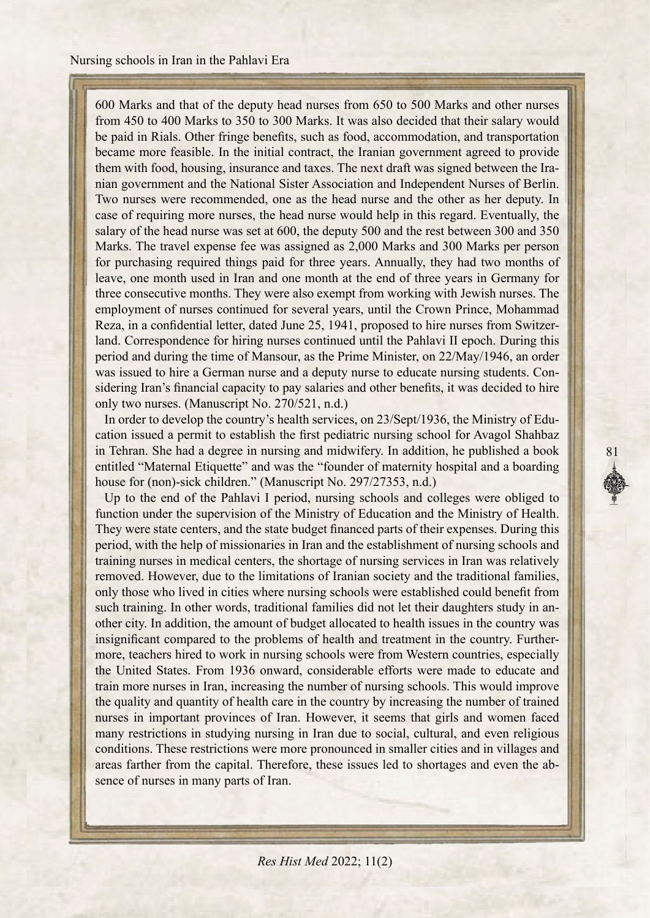600 Marks and that of the deputy head nurses from 650 to 500 Marks and other nurses from 450 to 400 Marks to 350 to 300 Marks. It was also decided that their salary would be paid in Rials. Other fringe benefits, such as food, accommodation, and transportation became more feasible. In the initial contract, the Iranian government agreed to provide nian government and the National Sister Association and Independent Nurses of Berlin. them with food, housing, insurance and taxes. The next draft was signed between the Ira-Two nurses were recommended, one as the head nurse and the other as her deputy. In case of requiring more nurses, the head nurse would help in this regard. Eventually, the salary of the head nurse was set at 600, the deputy 500 and the rest between 300 and 350 Marks. The travel expense fee was assigned as 2,000 Marks and 300 Marks per person for purchasing required things paid for three years. Annually, they had two months of leave, one month used in Iran and one month at the end of three years in Germany for three consecutive months. They were also exempt from working with Jewish nurses. The employment of nurses continued for several years, until the Crown Prince, Mohammad land. Correspondence for hiring nurses continued until the Pahlavi II epoch. During this Reza, in a confidential letter, dated June 25, 1941, proposed to hire nurses from Switzerperiod and during the time of Mansour, as the Prime Minister, on 22/May/1946, an order sidering Iran's financial capacity to pay salaries and other benefits, it was decided to hire was issued to hire a German nurse and a deputy nurse to educate nursing students. Cononly two nurses. (Manuscript No. 270/521, n.d.)

cation issued a permit to establish the first pediatric nursing school for Avagol Shahbaz In order to develop the country's health services, on 23/ Sept<sup>71936</sup>, the Ministry of Eduin Tehran. She had a degree in nursing and midwifery. In addition, he published a book entitled "Maternal Etiquette" and was the "founder of maternity hospital and a boarding house for (non)-sick children." (Manuscript No. 297/27353, n.d.)

81

Up to the end of the Pahlavi I period, nursing schools and colleges were obliged to function under the supervision of the Ministry of Education and the Ministry of Health. They were state centers, and the state budget financed parts of their expenses. During this period, with the help of missionaries in Iran and the establishment of nursing schools and training nurses in medical centers, the shortage of nursing services in Iran was relatively removed. However, due to the limitations of Iranian society and the traditional families, only those who lived in cities where nursing schools were established could benefit from other city. In addition, the amount of budget allocated to health issues in the country was such training. In other words, traditional families did not let their daughters study in anmore, teachers hired to work in nursing schools were from Western countries, especially insignificant compared to the problems of health and treatment in the country. Furtherthe United States. From 1936 onward, considerable efforts were made to educate and train more nurses in Iran, increasing the number of nursing schools. This would improve the quality and quantity of health care in the country by increasing the number of trained nurses in important provinces of Iran. However, it seems that girls and women faced many restrictions in studying nursing in Iran due to social, cultural, and even religious conditions. These restrictions were more pronounced in smaller cities and in villages and areas farther from the capital. Therefore, these issues led to shortages and even the absence of nurses in many parts of Iran.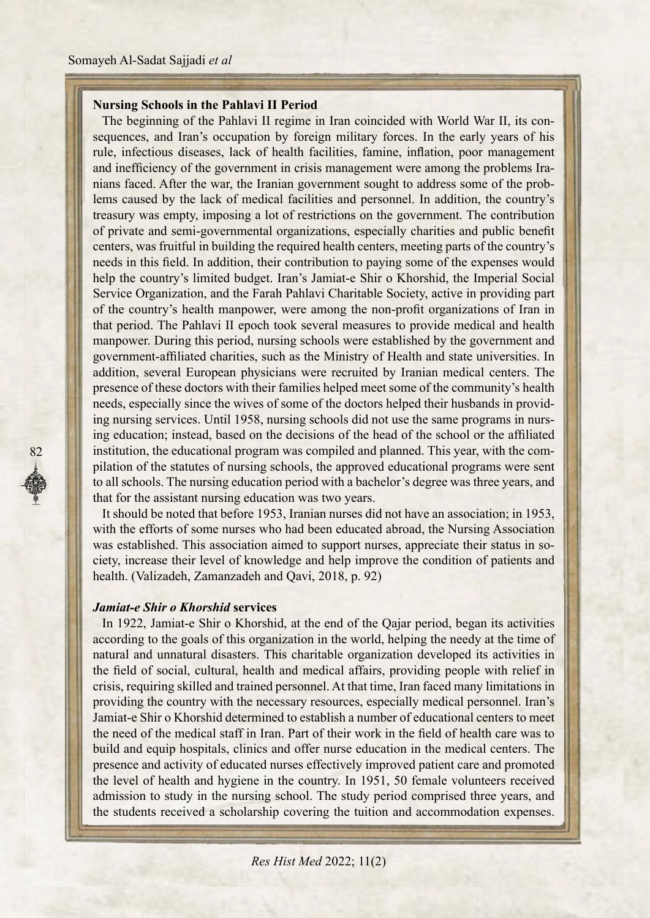## **Nursing Schools in the Pahlavi II Period**

sequences, and Iran's occupation by foreign military forces. In the early years of his The beginning of the Pahlavi II regime in Iran coincided with World War II, its conrule, infectious diseases, lack of health facilities, famine, inflation, poor management nians faced. After the war, the Iranian government sought to address some of the problems caused by the lack of medical facilities and personnel. In addition, the country's and inefficiency of the government in crisis management were among the problems Iranians faced. After the war, the Iranian government sought to address some of the proband inefficiency of the government in crisis management were among the problems Iratreasury was empty, imposing a lot of restrictions on the government. The contribution of private and semi-governmental organizations, especially charities and public benefit centers, was fruitful in building the required health centers, meeting parts of the country's needs in this field. In addition, their contribution to paying some of the expenses would help the country's limited budget. Iran's Jamiat-e-Shir o Khorshid, the Imperial Social Service Organization, and the Farah Pahlavi Charitable Society, active in providing part of the country's health manpower, were among the non-profit organizations of Iran in that period. The Pahlavi II epoch took several measures to provide medical and health manpower. During this period, nursing schools were established by the government and government-affiliated charities, such as the Ministry of Health and state universities. In addition, several European physicians were recruited by Iranian medical centers. The presence of these doctors with their families helped meet some of the community's health ing nursing services. Until 1958, nursing schools did not use the same programs in nursing education; instead, based on the decisions of the head of the school or the affiliated needs, especially since the wives of some of the doctors helped their husbands in provid-<br>ing nursing services. Until 1958, nursing schools did not use the same programs in nursneeds, especially since the wives of some of the doctors helped their husbands in providpilation of the statutes of nursing schools, the approved educational programs were sent institution, the educational program was compiled and planned. This year, with the comto all schools. The nursing education period with a bachelor's degree was three years, and that for the assistant nursing education was two years.

It should be noted that before 1953, Iranian nurses did not have an association; in 1953, with the efforts of some nurses who had been educated abroad, the Nursing Association ciety, increase their level of knowledge and help improve the condition of patients and was established. This association aimed to support nurses, appreciate their status in sohealth. (Valizadeh, Zamanzadeh and Qavi, 2018, p. 92)

### *<u>Jamiat-e Shir o Khorshid services</u>*

82

In 1922, Jamiat-e Shir o Khorshid, at the end of the Qajar period, began its activities according to the goals of this organization in the world, helping the needy at the time of natural and unnatural disasters. This charitable organization developed its activities in the field of social, cultural, health and medical affairs, providing people with relief in crisis, requiring skilled and trained personnel. At that time, Iran faced many limitations in providing the country with the necessary resources, especially medical personnel. Iran's Jamiat-e Shir o Khorshid determined to establish a number of educational centers to meet the need of the medical staff in Iran. Part of their work in the field of health care was to build and equip hospitals, clinics and offer nurse education in the medical centers. The presence and activity of educated nurses effectively improved patient care and promoted the level of health and hygiene in the country. In 1951, 50 female volunteers received admission to study in the nursing school. The study period comprised three years, and the students received a scholarship covering the tuition and accommodation expenses.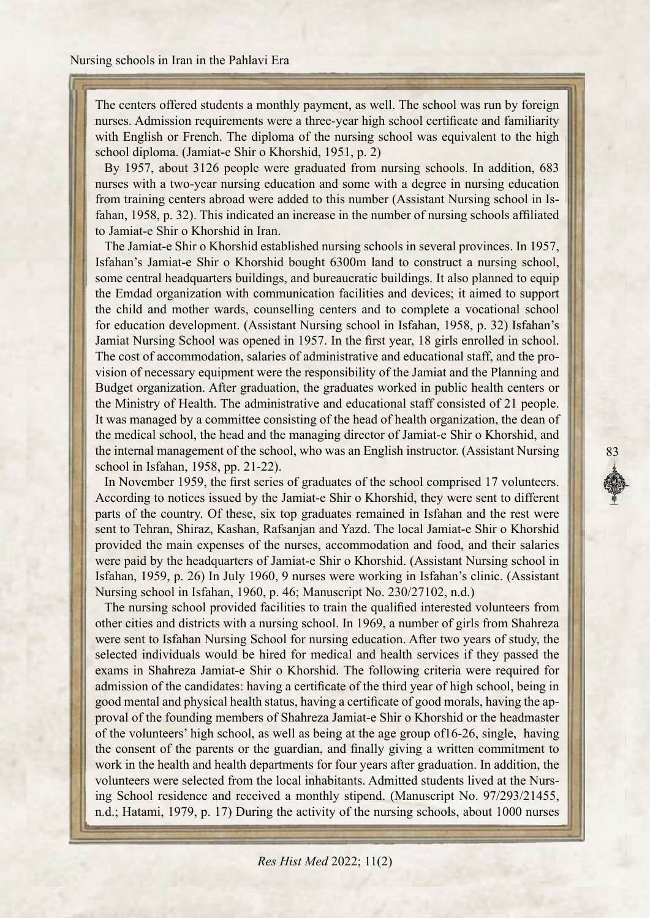The centers offered students a monthly payment, as well. The school was run by foreign nurses. Admission requirements were a three-year high school certificate and familiarity with English or French. The diploma of the nursing school was equivalent to the high school diploma. (Jamiat-e-Shir o Khorshid, 1951, p. 2)

By 1957, about 3126 people were graduated from nursing schools. In addition, 683 nurses with a two-year nursing education and some with a degree in nursing education fahan, 1958, p. 32). This indicated an increase in the number of nursing schools affiliated from training centers abroad were added to this number (Assistant Nursing school in Isto Jamiat-e-Shir o Khorshid in Iran.

The Jamiat-e Shir o Khorshid established nursing schools in several provinces. In 1957, Isfahan's Jamiat-e Shir o Khorshid bought 6300m land to construct a nursing school, some central headquarters buildings, and bureaucratic buildings. It also planned to equip the Emdad organization with communication facilities and devices; it aimed to support the child and mother wards, counselling centers and to complete a vocational school for education development. (Assistant Nursing school in Isfahan, 1958, p. 32) Isfahan's Jamiat Nursing School was opened in 1957. In the first year, 18 girls enrolled in school. vision of necessary equipment were the responsibility of the Jamiat and the Planning and The cost of accommodation, salaries of administrative and educational staff, and the pro-Budget organization. After graduation, the graduates worked in public health centers or the Ministry of Health. The administrative and educational staff consisted of 21 people. It was managed by a committee consisting of the head of health organization, the dean of the medical school, the head and the managing director of Jamiat-e-Shir o Khorshid, and the internal management of the school, who was an English instructor. (Assistant Nursing school in Isfahan, 1958, pp. 21-22).

In November 1959, the first series of graduates of the school comprised 17 volunteers. According to notices issued by the Jamiat-e-Shir o Khorshid, they were sent to different parts of the country. Of these, six top graduates remained in Isfahan and the rest were sent to Tehran, Shiraz, Kashan, Rafsanjan and Yazd. The local Jamiat-e Shir o Khorshid provided the main expenses of the nurses, accommodation and food, and their salaries were paid by the headquarters of Jamiat-e-Shir o Khorshid. (Assistant Nursing school in Isfahan, 1959, p. 26) In July 1960, 9 nurses were working in Isfahan's clinic. (Assistant Nursing school in Isfahan, 1960, p. 46; Manuscript No.  $230/27102$ , n.d.)

The nursing school provided facilities to train the qualified interested volunteers from other cities and districts with a nursing school. In 1969, a number of girls from Shahreza were sent to Isfahan Nursing School for nursing education. After two years of study, the selected individuals would be hired for medical and health services if they passed the exams in Shahreza Jamiat-e-Shir o Khorshid. The following criteria were required for admission of the candidates: having a certificate of the third year of high school, being in proval of the founding members of Shahreza Jamiat-e-Shir o Khorshid or the headmaster good mental and physical health status, having a certificate of good morals, having the apof the volunteers' high school, as well as being at the age group of  $16-26$ , single, having the consent of the parents or the guardian, and finally giving a written commitment to work in the health and health departments for four years after graduation. In addition, the ing School residence and received a monthly stipend. (Manuscript No. 97/293/21455, volunteers were selected from the local inhabitants. Admitted students lived at the Nursn.d.; Hatami, 1979, p. 17) During the activity of the nursing schools, about 1000 nurses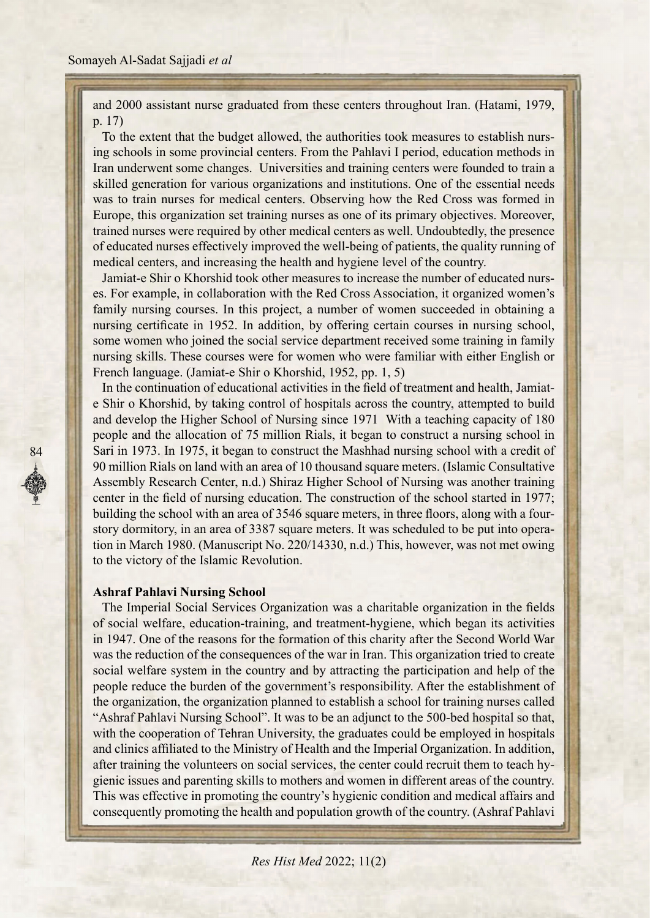and 2000 assistant nurse graduated from these centers throughout Iran. (Hatami, 1979, p.  $17)$ 

ing schools in some provincial centers. From the Pahlavi I period, education methods in To the extent that the budget allowed, the authorities took measures to establish nurs-Iran underwent some changes. Universities and training centers were founded to train a skilled generation for various organizations and institutions. One of the essential needs was to train nurses for medical centers. Observing how the Red Cross was formed in Europe, this organization set training nurses as one of its primary objectives. Moreover, trained nurses were required by other medical centers as well. Undoubtedly, the presence of educated nurses effectively improved the well-being of patients, the quality running of .com medical centers, and increasing the health and hygiene level of the country.

es. For example, in collaboration with the Red Cross Association, it organized women's Jamiat-e Shir o Khorshid took other measures to increase the number of educated nursfamily nursing courses. In this project, a number of women succeeded in obtaining a nursing certificate in 1952. In addition, by offering certain courses in nursing school, some women who joined the social service department received some training in family nursing skills. These courses were for women who were familiar with either English or French language. (Jamiat-e-Shir o Khorshid, 1952, pp. 1, 5)

but a Shir o Khorshid, by taking control of hospitals across the country, attempted to build In the continuation of educational activities in the field of treatment and health, Jamiatand develop the Higher School of Nursing since 1971 With a teaching capacity of 180 people and the allocation of 75 million Rials, it began to construct a nursing school in Sari in 1973. In 1975, it began to construct the Mashhad nursing school with a credit of 90 million Rials on land with an area of 10 thousand square meters. (Islamic Consultative Assembly Research Center, n.d.) Shiraz Higher School of Nursing was another training center in the field of nursing education. The construction of the school started in 1977; tion in March 1980. (Manuscript No. 220/14330, n.d.) This, however, was not met owing story dormitory, in an area of 3387 square meters. It was scheduled to be put into operabuilding the school with an area of 3546 square meters, in three floors, along with a fourto the victory of the Islamic Revolution.

#### **Ashraf Pahlavi Nursing School**

84

The Imperial Social Services Organization was a charitable organization in the fields of social welfare, education-training, and treatment-hygiene, which began its activities in 1947. One of the reasons for the formation of this charity after the Second World War was the reduction of the consequences of the war in Iran. This organization tried to create social welfare system in the country and by attracting the participation and help of the people reduce the burden of the government's responsibility. After the establishment of the organization, the organization planned to establish a school for training nurses called "Ashraf Pahlavi Nursing School". It was to be an adjunct to the 500-bed hospital so that, with the cooperation of Tehran University, the graduates could be employed in hospitals and clinics affiliated to the Ministry of Health and the Imperial Organization. In addition, gienic issues and parenting skills to mothers and women in different areas of the country. after training the volunteers on social services, the center could recruit them to teach hy-This was effective in promoting the country's hygienic condition and medical affairs and consequently promoting the health and population growth of the country. (Ashraf Pahlavi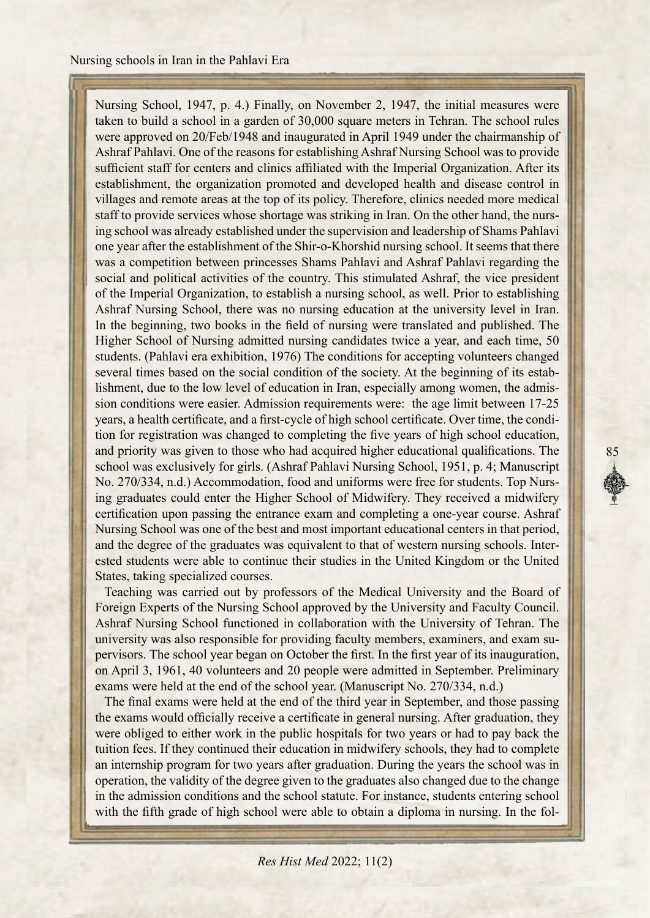Nursing School, 1947, p. 4.) Finally, on November 2, 1947, the initial measures were taken to build a school in a garden of 30,000 square meters in Tehran. The school rules were approved on 20/Feb/1948 and inaugurated in April 1949 under the chairmanship of Ashraf Pahlavi. One of the reasons for establishing Ashraf Nursing School was to provide sufficient staff for centers and clinics affiliated with the Imperial Organization. After its establishment, the organization promoted and developed health and disease control in villages and remote areas at the top of its policy. Therefore, clinics needed more medical ing school was already established under the supervision and leadership of Shams Pahlavi staff to provide services whose shortage was striking in Iran. On the other hand, the nursone year after the establishment of the Shir-o-Khorshid nursing school. It seems that there was a competition between princesses Shams Pahlavi and Ashraf Pahlavi regarding the social and political activities of the country. This stimulated Ashraf, the vice president of the Imperial Organization, to establish a nursing school, as well. Prior to establishing Ashraf Nursing School, there was no nursing education at the university level in Iran. In the beginning, two books in the field of nursing were translated and published. The Higher School of Nursing admitted nursing candidates twice a year, and each time, 50 students. (Pahlavi era exhibition, 1976) The conditions for accepting volunteers changed lishment, due to the low level of education in Iran, especially among women, the admission conditions were easier. Admission requirements were: the age limit between 17-25 several times based on the social condition of the society. At the beginning of its establishment, due to the low level of education in Iran, especially among women, the admistion for registration was changed to completing the five years of high school education, years, a health certificate, and a first-cycle of high school certificate. Over time, the condiand priority was given to those who had acquired higher educational qualifications. The school was exclusively for girls. (Ashraf Pahlavi Nursing School, 1951, p. 4; Manuscript ing graduates could enter the Higher School of Midwifery. They received a midwifery No. 270/334, n.d.) Accommodation, food and uniforms were free for students. Top Nurscertification upon passing the entrance exam and completing a one-year course. Ashraf Nursing School was one of the best and most important educational centers in that period, ested students were able to continue their studies in the United Kingdom or the United and the degree of the graduates was equivalent to that of western nursing schools. Inter-States, taking specialized courses.

85

Teaching was carried out by professors of the Medical University and the Board of Foreign Experts of the Nursing School approved by the University and Faculty Council. Ashraf Nursing School functioned in collaboration with the University of Tehran. The pervisors. The school year began on October the first. In the first year of its inauguration, university was also responsible for providing faculty members, examiners, and exam suon April 3, 1961, 40 volunteers and 20 people were admitted in September. Preliminary exams were held at the end of the school year. (Manuscript  $No. 270/334, n.d.)$ 

The final exams were held at the end of the third year in September, and those passing the exams would officially receive a certificate in general nursing. After graduation, they were obliged to either work in the public hospitals for two years or had to pay back the tuition fees. If they continued their education in midwifery schools, they had to complete an internship program for two years after graduation. During the years the school was in operation, the validity of the degree given to the graduates also changed due to the change in the admission conditions and the school statute. For instance, students entering school with the fifth grade of high school were able to obtain a diploma in nursing. In the fol-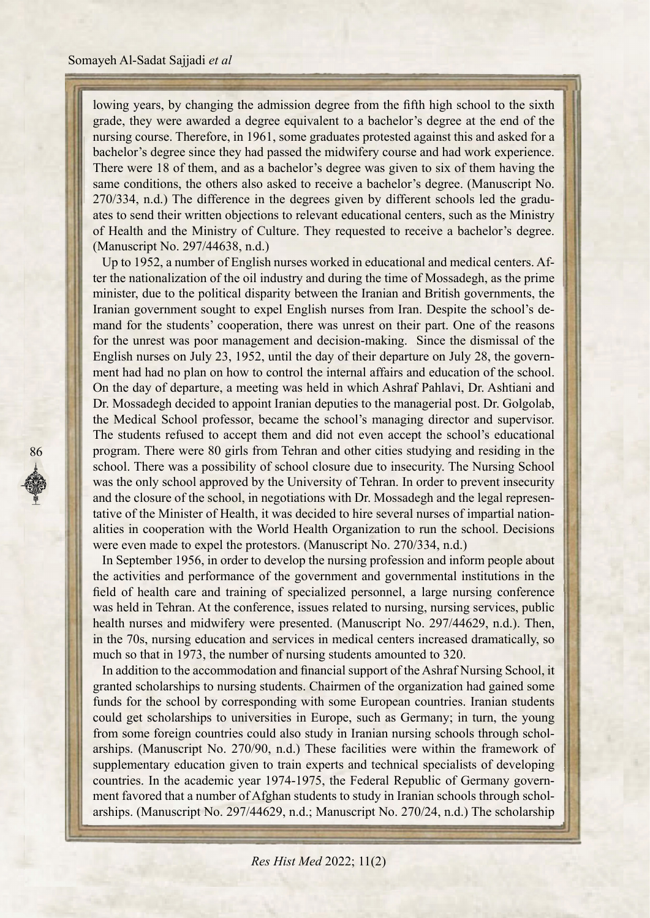lowing years, by changing the admission degree from the fifth high school to the sixth grade, they were awarded a degree equivalent to a bachelor's degree at the end of the nursing course. Therefore, in 1961, some graduates protested against this and asked for a bachelor's degree since they had passed the midwifery course and had work experience. There were 18 of them, and as a bachelor's degree was given to six of them having the same conditions, the others also asked to receive a bachelor's degree. (Manuscript No. ates to send their written objections to relevant educational centers, such as the Ministry  $270/334$ , n.d.) The difference in the degrees given by different schools led the graduof Health and the Ministry of Culture. They requested to receive a bachelor's degree. (Manuscript No. 297/44638, n.d.)

ter the nationalization of the oil industry and during the time of Mossadegh, as the prime Up to 1952, a number of English nurses worked in educational and medical centers. Afminister, due to the political disparity between the Iranian and British governments, the mand for the students' cooperation, there was unrest on their part. One of the reasons Iranian government sought to expel English nurses from Iran. Despite the school's defor the unrest was poor management and decision-making. Since the dismissal of the ment had had no plan on how to control the internal affairs and education of the school. English nurses on July 23, 1952, until the day of their departure on July 28, the govern-On the day of departure, a meeting was held in which Ashraf Pahlavi, Dr. Ashtiani and Dr. Mossadegh decided to appoint Iranian deputies to the managerial post. Dr. Golgolab, the Medical School professor, became the school's managing director and supervisor. The students refused to accept them and did not even accept the school's educational program. There were 80 girls from Tehran and other cities studying and residing in the school. There was a possibility of school closure due to insecurity. The Nursing School was the only school approved by the University of Tehran. In order to prevent insecurity alities in cooperation with the World Health Organization to run the school. Decisions tative of the Minister of Health, it was decided to hire several nurses of impartial nationand the closure of the school, in negotiations with Dr. Mossadegh and the legal represenwere even made to expel the protestors. (Manuscript No. 270/334, n.d.)

In September 1956, in order to develop the nursing profession and inform people about the activities and performance of the government and governmental institutions in the field of health care and training of specialized personnel, a large nursing conference was held in Tehran. At the conference, issues related to nursing, nursing services, public health nurses and midwifery were presented. (Manuscript No. 297/44629, n.d.). Then, in the 70s, nursing education and services in medical centers increased dramatically, so much so that in 1973, the number of nursing students amounted to 320.

In addition to the accommodation and financial support of the Ashraf Nursing School, it granted scholarships to nursing students. Chairmen of the organization had gained some funds for the school by corresponding with some European countries. Iranian students could get scholarships to universities in Europe, such as Germany; in turn, the young arships. (Manuscript No. 270/90, n.d.) These facilities were within the framework of from some foreign countries could also study in Iranian nursing schools through scholsupplementary education given to train experts and technical specialists of developing arships. (Manuscript No. 297/44629, n.d.; Manuscript No. 270/24, n.d.) The scholarship ment favored that a number of Afghan students to study in Iranian schools through scholcountries. In the academic year 1974-1975, the Federal Republic of Germany govern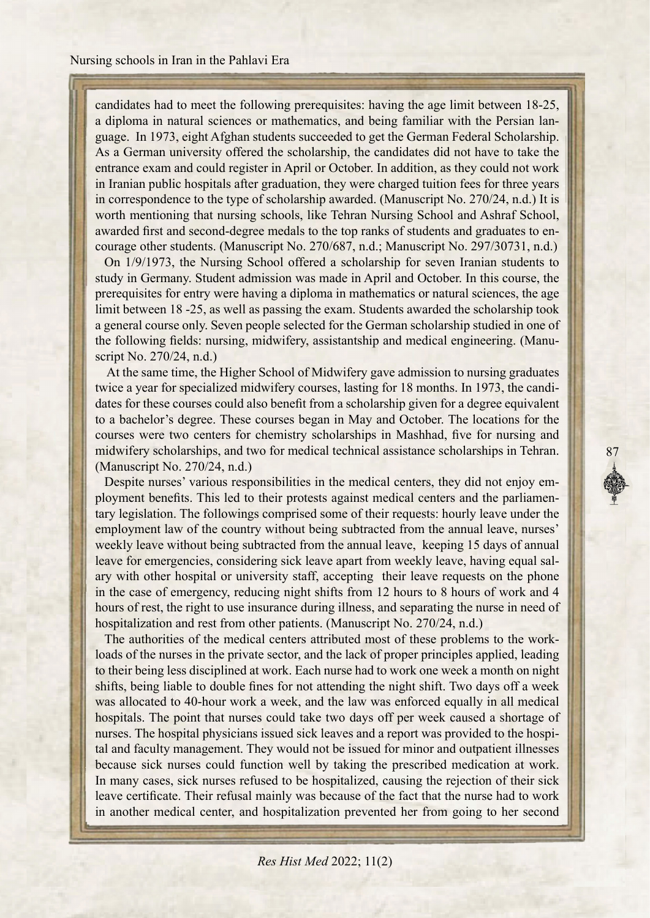candidates had to meet the following prerequisites: having the age limit between 18-25, guage. In 1973, eight Afghan students succeeded to get the German Federal Scholarship. a diploma in natural sciences or mathematics, and being familiar with the Persian lan-As a German university offered the scholarship, the candidates did not have to take the entrance exam and could register in April or October. In addition, as they could not work in Iranian public hospitals after graduation, they were charged tuition fees for three years in correspondence to the type of scholarship awarded. (Manuscript No.  $270/24$ , n.d.) It is worth mentioning that nursing schools, like Tehran Nursing School and Ashraf School, courage other students. (Manuscript No. 270/687, n.d.; Manuscript No. 297/30731, n.d.) awarded first and second-degree medals to the top ranks of students and graduates to en-

On  $1/9/1973$ , the Nursing School offered a scholarship for seven Iranian students to study in Germany. Student admission was made in April and October. In this course, the prerequisites for entry were having a diploma in mathematics or natural sciences, the age limit between 18 -25, as well as passing the exam. Students awarded the scholarship took a general course only. Seven people selected for the German scholarship studied in one of the following fields: nursing, midwifery, assistantship and medical engineering. (Manuscript No. 270/24, n.d.)

At the same time, the Higher School of Midwifery gave admission to nursing graduates dates for these courses could also benefit from a scholarship given for a degree equivalent twice a year for specialized midwifery courses, lasting for 18 months. In 1973, the candito a bachelor's degree. These courses began in May and October. The locations for the courses were two centers for chemistry scholarships in Mashhad, five for nursing and midwifery scholarships, and two for medical technical assistance scholarships in Tehran.  $(Manuscript No. 270/24, n.d.)$ 

tary legislation. The followings comprised some of their requests: hourly leave under the ployment benefits. This led to their protests against medical centers and the parliamen-Despite nurses' various responsibilities in the medical centers, they did not enjoy ememployment law of the country without being subtracted from the annual leave, nurses' weekly leave without being subtracted from the annual leave, keeping 15 days of annual ary with other hospital or university staff, accepting their leave requests on the phone leave for emergencies, considering sick leave apart from weekly leave, having equal salin the case of emergency, reducing night shifts from 12 hours to 8 hours of work and 4 hours of rest, the right to use insurance during illness, and separating the nurse in need of hospitalization and rest from other patients. (Manuscript No. 270/24, n.d.)

loads of the nurses in the private sector, and the lack of proper principles applied, leading The authorities of the medical centers attributed most of these problems to the workto their being less disciplined at work. Each nurse had to work one week a month on night shifts, being liable to double fines for not attending the night shift. Two days off a week was allocated to 40-hour work a week, and the law was enforced equally in all medical hospitals. The point that nurses could take two days off per week caused a shortage of tal and faculty management. They would not be issued for minor and outpatient illnesses hospital physicians issued sick leaves and a report was provided to the hospibecause sick nurses could function well by taking the prescribed medication at work. In many cases, sick nurses refused to be hospitalized, causing the rejection of their sick leave certificate. Their refusal mainly was because of the fact that the nurse had to work in another medical center, and hospitalization prevented her from going to her second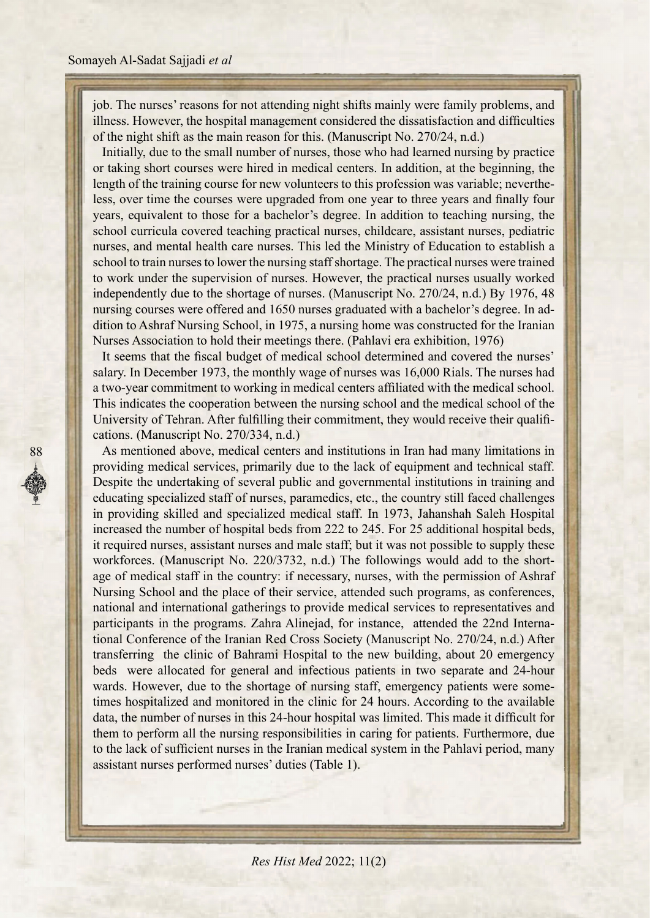job. The nurses' reasons for not attending night shifts mainly were family problems, and illness. However, the hospital management considered the dissatisfaction and difficulties of the night shift as the main reason for this. (Manuscript No.  $270/24$ , n.d.)

Initially, due to the small number of nurses, those who had learned nursing by practice or taking short courses were hired in medical centers. In addition, at the beginning, the less, over time the courses were upgraded from one year to three years and finally four length of the training course for new volunteers to this profession was variable; nevertheyears, equivalent to those for a bachelor's degree. In addition to teaching nursing, the school curricula covered teaching practical nurses, childcare, assistant nurses, pediatric nurses, and mental health care nurses. This led the Ministry of Education to establish a school to train nurses to lower the nursing staff shortage. The practical nurses were trained to work under the supervision of nurses. However, the practical nurses usually worked independently due to the shortage of nurses. (Manuscript No.  $270/24$ , n.d.) By 1976, 48 dition to Ashraf Nursing School, in 1975, a nursing home was constructed for the Iranian nursing courses were offered and 1650 nurses graduated with a bachelor's degree. In ad-Nurses Association to hold their meetings there. (Pahlavi era exhibition, 1976)

It seems that the fiscal budget of medical school determined and covered the nurses' salary. In December 1973, the monthly wage of nurses was 16,000 Rials. The nurses had a two-year commitment to working in medical centers affiliated with the medical school. This indicates the cooperation between the nursing school and the medical school of the University of Tehran. After fulfilling their commitment, they would receive their qualifications. (Manuscript No. 270/334, n.d.)

As mentioned above, medical centers and institutions in Iran had many limitations in providing medical services, primarily due to the lack of equipment and technical staff. Despite the undertaking of several public and governmental institutions in training and educating specialized staff of nurses, paramedics, etc., the country still faced challenges in providing skilled and specialized medical staff. In 1973, Jahanshah Saleh Hospital increased the number of hospital beds from 222 to 245. For 25 additional hospital beds, it required nurses, assistant nurses and male staff; but it was not possible to supply these age of medical staff in the country: if necessary, nurses, with the permission of Ashraf workforces. (Manuscript No. 220/3732, n.d.) The followings would add to the short-Nursing School and the place of their service, attended such programs, as conferences, national and international gatherings to provide medical services to representatives and tional Conference of the Iranian Red Cross Society (Manuscript No. 270/24, n.d.) After participants in the programs. Zahra Alinejad, for instance, attended the 22nd Internatransferring the clinic of Bahrami Hospital to the new building, about 20 emergency beds were allocated for general and infectious patients in two separate and 24-hour times hospitalized and monitored in the clinic for 24 hours. According to the available wards. However, due to the shortage of nursing staff, emergency patients were somedata, the number of nurses in this 24-hour hospital was limited. This made it difficult for them to perform all the nursing responsibilities in caring for patients. Furthermore, due to the lack of sufficient nurses in the Iranian medical system in the Pahlavi period, many assistant nurses performed nurses' duties (Table 1).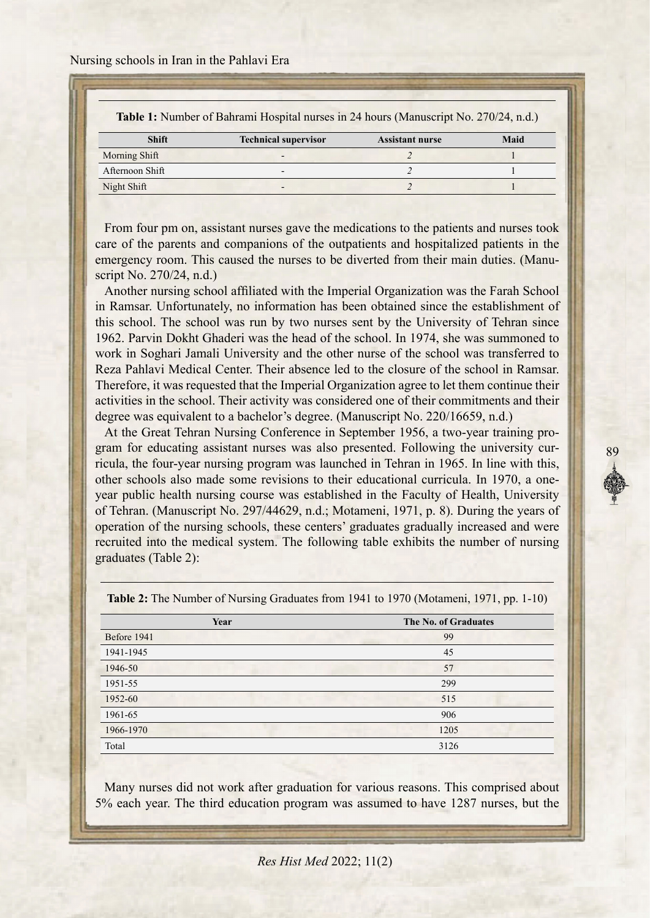Nursing schools in Iran in the Pahlavi Era

| <b>Table 1:</b> Number of Bahrami Hospital nurses in 24 hours (Manuscript No. 270/24, n.d.) |  |
|---------------------------------------------------------------------------------------------|--|
|---------------------------------------------------------------------------------------------|--|

| <b>Shift</b>    | <b>Technical supervisor</b> | <b>Assistant nurse</b> | Maid |
|-----------------|-----------------------------|------------------------|------|
| Morning Shift   | $\overline{\phantom{0}}$    |                        |      |
| Afternoon Shift | $\overline{\phantom{0}}$    |                        |      |
| Night Shift     | -                           |                        |      |
|                 |                             |                        |      |

From four pm on, assistant nurses gave the medications to the patients and nurses took care of the parents and companions of the outpatients and hospitalized patients in the emergency room. This caused the nurses to be diverted from their main duties. (Manuscript No. 270/24, n.d.)

Another nursing school affiliated with the Imperial Organization was the Farah School in Ramsar. Unfortunately, no information has been obtained since the establishment of this school. The school was run by two nurses sent by the University of Tehran since 1962. Parvin Dokht Ghaderi was the head of the school. In 1974, she was summoned to work in Soghari Jamali University and the other nurse of the school was transferred to Reza Pahlavi Medical Center. Their absence led to the closure of the school in Ramsar. Therefore, it was requested that the Imperial Organization agree to let them continue their activities in the school. Their activity was considered one of their commitments and their degree was equivalent to a bachelor's degree. (Manuscript No.  $220/16659$ , n.d.)

ricula, the four-year nursing program was launched in Tehran in 1965. In line with this, gram for educating assistant nurses was also presented. Following the university cur-At the Great Tehran Nursing Conference in September 1956, a two-year training proyear public health nursing course was established in the Faculty of Health, University other schools also made some revisions to their educational curricula. In 1970, a oneof Tehran. (Manuscript No. 297/44629, n.d.; Motameni, 1971, p. 8). During the years of operation of the nursing schools, these centers' graduates gradually increased and were recruited into the medical system. The following table exhibits the number of nursing graduates (Table 2):

89

| Year        | The No. of Graduates |
|-------------|----------------------|
| Before 1941 | 99                   |
| 1941-1945   | 45                   |
| 1946-50     | 57                   |
| 1951-55     | 299                  |
| 1952-60     | 515                  |
| 1961-65     | 906                  |
| 1966-1970   | 1205                 |
| Total       | 3126                 |

Table 2: The Number of Nursing Graduates from 1941 to 1970 (Motameni, 1971, pp. 1-10)

Many nurses did not work after graduation for various reasons. This comprised about 5% each year. The third education program was assumed to have 1287 nurses, but the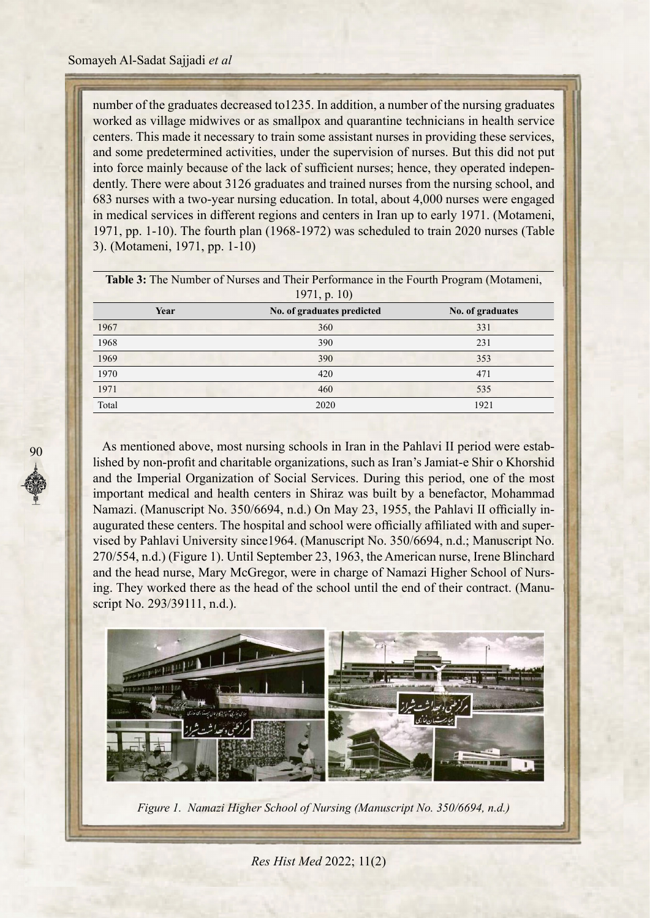number of the graduates decreased to 1235. In addition, a number of the nursing graduates worked as village midwives or as smallpox and quarantine technicians in health service centers. This made it necessary to train some assistant nurses in providing these services, and some predetermined activities, under the supervision of nurses. But this did not put dently. There were about 3126 graduates and trained nurses from the nursing school, and into force mainly because of the lack of sufficient nurses; hence, they operated indepen-683 nurses with a two-year nursing education. In total, about 4,000 nurses were engaged in medical services in different regions and centers in Iran up to early 1971. (Motameni, 1971, pp. 1-10). The fourth plan (1968-1972) was scheduled to train 2020 nurses (Table 3). (Motameni, 1971, pp. 1-10)

| <b>Table 3:</b> The Number of Nurses and Their Performance in the Fourth Program (Motameni, |                            |                  |  |  |  |
|---------------------------------------------------------------------------------------------|----------------------------|------------------|--|--|--|
| 1971, p. 10                                                                                 |                            |                  |  |  |  |
| Year                                                                                        | No. of graduates predicted | No. of graduates |  |  |  |
| 1967                                                                                        | 360                        | 331              |  |  |  |
| 1968                                                                                        | 390                        | 231              |  |  |  |
| 1969                                                                                        | 390                        | 353              |  |  |  |
| 1970                                                                                        | 420                        | 471              |  |  |  |
| 1971                                                                                        | 460                        | 535              |  |  |  |
| Total                                                                                       | 2020                       | 1921             |  |  |  |

lished by non-profit and charitable organizations, such as Iran's Jamiat-e Shir o Khorshid As mentioned above, most nursing schools in Iran in the Pahlavi II period were estaband the Imperial Organization of Social Services. During this period, one of the most important medical and health centers in Shiraz was built by a benefactor, Mohammad vised by Pahlavi University since 1964. (Manuscript No. 350/6694, n.d.; Manuscript No. augurated these centers. The hospital and school were officially affiliated with and super-Namazi. (Manuscript No. 350/6694, n.d.) On May 23, 1955, the Pahlavi II officially in-270/554, n.d.) (Figure 1). Until September 23, 1963, the American nurse, Irene Blinchard ing. They worked there as the head of the school until the end of their contract. (Manuscript No. 293/39111, n.d.). and the head nurse, Mary McGregor, were in charge of Namazi Higher School of Nurs-<br>ing. They worked there as the head of the school until the end of their contract. (Manuand the head nurse, Mary McGregor, were in charge of Namazi Higher School of Nurs-



*Figure 1. Namazi Higher School of Nursing (Manuscript No. 350/6694, n.d.)*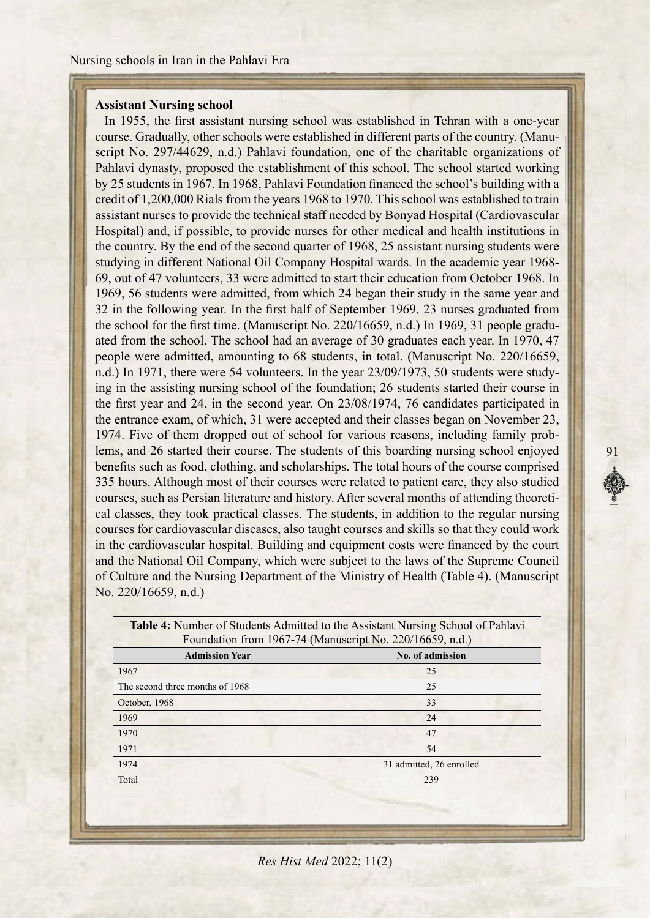# **Assistant Nursing school**

In 1955, the first assistant nursing school was established in Tehran with a one-year script No. 297/44629, n.d.) Pahlavi foundation, one of the charitable organizations of course. Gradually, other schools were established in different parts of the country. (Manu-Pahlavi dynasty, proposed the establishment of this school. The school started working by 25 students in 1967. In 1968, Pahlavi Foundation financed the school's building with a credit of 1,200,000 Rials from the years 1968 to 1970. This school was established to train assistant nurses to provide the technical staff needed by Bonyad Hospital (Cardiovascular Hospital) and, if possible, to provide nurses for other medical and health institutions in the country. By the end of the second quarter of 1968, 25 assistant nursing students were studying in different National Oil Company Hospital wards. In the academic year 1968-69, out of 47 volunteers, 33 were admitted to start their education from October 1968. In 1969, 56 students were admitted, from which 24 began their study in the same year and 32 in the following year. In the first half of September 1969, 23 nurses graduated from ated from the school. The school had an average of 30 graduates each year. In 1970, 47 the school for the first time. (Manuscript No. 220/16659, n.d.) In 1969, 31 people gradupeople were admitted, amounting to 68 students, in total. (Manuscript No. 220/16659, ing in the assisting nursing school of the foundation; 26 students started their course in n.d.) In 1971, there were 54 volunteers. In the year 23/09/1973, 50 students were studythe first year and 24, in the second year. On  $23/08/1974$ , 76 candidates participated in the entrance exam, of which, 31 were accepted and their classes began on November 23, lems, and 26 started their course. The students of this boarding nursing school enjoyed 1974. Five of them dropped out of school for various reasons, including family probbenefits such as food, clothing, and scholarships. The total hours of the course comprised 335 hours. Although most of their courses were related to patient care, they also studied cal classes, they took practical classes. The students, in addition to the regular nursing courses, such as Persian literature and history. After several months of attending theoreticourses for cardiovascular diseases, also taught courses and skills so that they could work in the cardiovascular hospital. Building and equipment costs were financed by the court and the National Oil Company, which were subject to the laws of the Supreme Council of Culture and the Nursing Department of the Ministry of Health (Table 4). (Manuscript No.  $220/16659$ , n.d.)

91

| <b>Table 4:</b> Number of Students Admitted to the Assistant Nursing School of Pahlavi<br>Foundation from 1967-74 (Manuscript No. 220/16659, n.d.) |                          |  |  |
|----------------------------------------------------------------------------------------------------------------------------------------------------|--------------------------|--|--|
| <b>Admission Year</b>                                                                                                                              | No. of admission         |  |  |
| 1967                                                                                                                                               | 25                       |  |  |
| The second three months of 1968                                                                                                                    | 25                       |  |  |
| October, 1968                                                                                                                                      | 33                       |  |  |
| 1969                                                                                                                                               | 24                       |  |  |
| 1970                                                                                                                                               | 47                       |  |  |
| 1971                                                                                                                                               | 54                       |  |  |
| 1974                                                                                                                                               | 31 admitted, 26 enrolled |  |  |
| Total                                                                                                                                              | 239                      |  |  |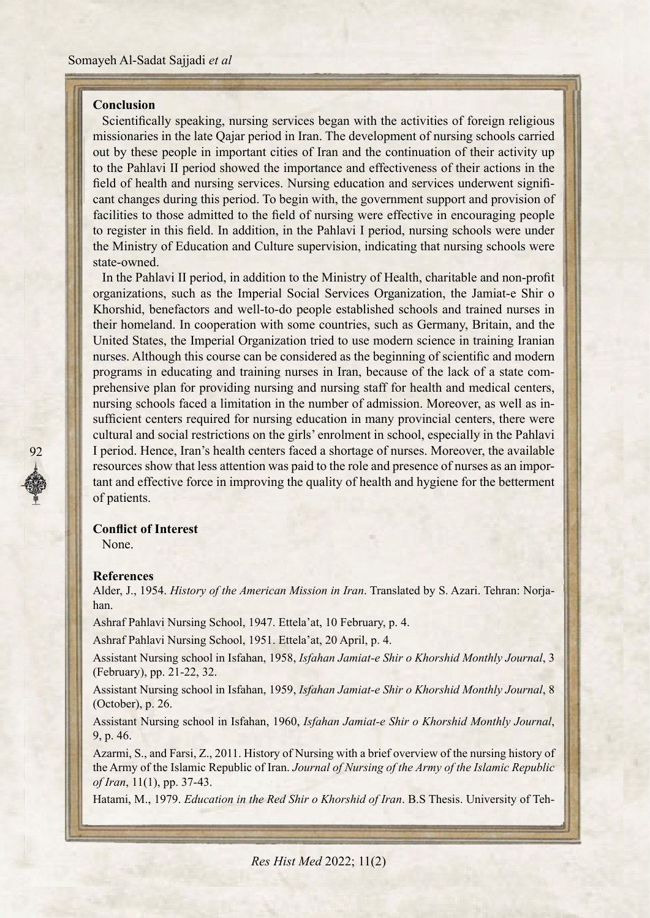## **Conclusion**

Scientifically speaking, nursing services began with the activities of foreign religious missionaries in the late Qajar period in Iran. The development of nursing schools carried out by these people in important cities of Iran and the continuation of their activity up to the Pahlavi II period showed the importance and effectiveness of their actions in the cant changes during this period. To begin with, the government support and provision of field of health and nursing services. Nursing education and services underwent signififacilities to those admitted to the field of nursing were effective in encouraging people to register in this field. In addition, in the Pahlavi I period, nursing schools were under the Ministry of Education and Culture supervision, indicating that nursing schools were state-owned.

In the Pahlavi II period, in addition to the Ministry of Health, charitable and non-profit organizations, such as the Imperial Social Services Organization, the Jamiat-e Shir o Khorshid, benefactors and well-to-do people established schools and trained nurses in their homeland. In cooperation with some countries, such as Germany, Britain, and the United States, the Imperial Organization tried to use modern science in training Iranian nurses. Although this course can be considered as the beginning of scientific and modern prehensive plan for providing nursing and nursing staff for health and medical centers, programs in educating and training nurses in Iran, because of the lack of a state comsufficient centers required for nursing education in many provincial centers, there were nursing schools faced a limitation in the number of admission. Moreover, as well as incultural and social restrictions on the girls' enrolment in school, especially in the Pahlavi I period. Hence, Iran's health centers faced a shortage of nurses. Moreover, the available resources show that less attention was paid to the role and presence of nurses as an important and effective force in improving the quality of health and hygiene for the betterment of patients.

#### **Conflict of Interest**

None

92

#### **References**

Alder, J., 1954. *History of the American Mission in Iran*. Translated by S. Azari. Tehran: Norja-<br>han.

Ashraf Pahlavi Nursing School, 1947. Ettela'at, 10 February, p. 4.

Ashraf Pahlavi Nursing School, 1951. Ettela'at, 20 April, p. 4.

Assistant Nursing school in Isfahan, 1958, *Isfahan Jamiat-e Shir o Khorshid Monthly Journal*, 3 (February), pp. 21-22, 32.

Assistant Nursing school in Isfahan, 1959, *Isfahan Jamiat-e Shir o Khorshid Monthly Journal*, 8  $(October), p. 26.$ 

Assistant Nursing school in Isfahan, 1960, *Isfahan Jamiat-e Shir o Khorshid Monthly Journal*, 9, p. 46.

Azarmi, S., and Farsi, Z., 2011. History of Nursing with a brief overview of the nursing history of the Army of the Islamic Republic of Iran. Journal of Nursing of the Army of the Islamic Republic of Iran, 11(1), pp. 37-43.

Hatami, M., 1979. *Education in the Red Shir o Khorshid of Iran*. B.S Thesis. University of Teh-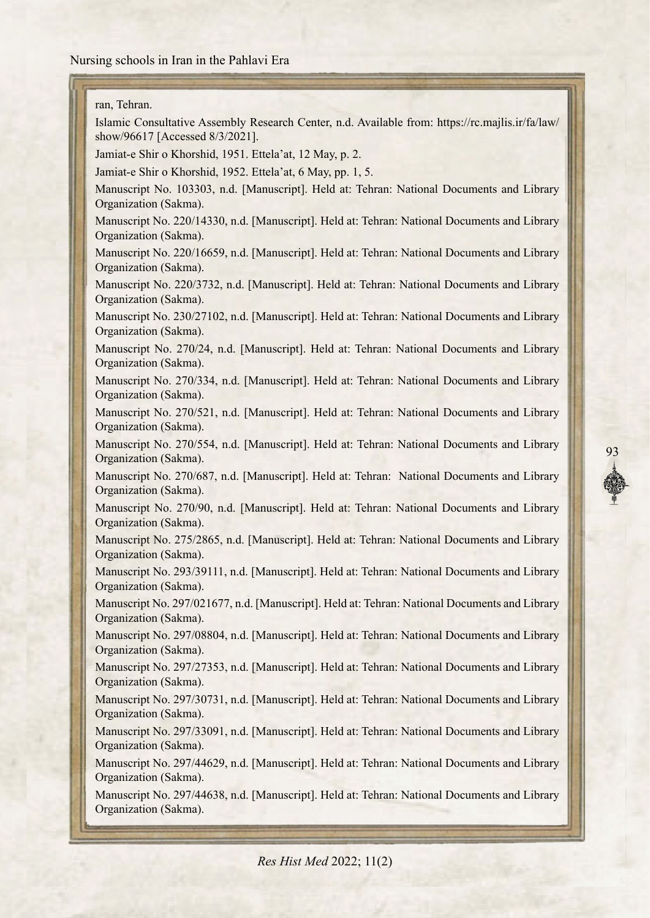ran, Tehran.

Islamic Consultative Assembly Research Center, n.d. Available from: https://rc.majlis.ir/fa/law/ show/96617 [Accessed 8/3/2021].

Jamiat-e Shir o Khorshid, 1951. Ettela'at, 12 May, p. 2.

Jamiat-e Shir o Khorshid, 1952. Ettela'at, 6 May, pp. 1, 5.

Manuscript No. 103303, n.d. [Manuscript]. Held at: Tehran: National Documents and Library Organization (Sakma).

Manuscript No. 220/14330, n.d. [Manuscript]. Held at: Tehran: National Documents and Library Organization (Sakma).

Manuscript No. 220/16659, n.d. [Manuscript]. Held at: Tehran: National Documents and Library Organization (Sakma).

Manuscript No. 220/3732, n.d. [Manuscript]. Held at: Tehran: National Documents and Library Organization (Sakma).

Manuscript No. 230/27102, n.d. [Manuscript]. Held at: Tehran: National Documents and Library Organization (Sakma).

Manuscript No. 270/24, n.d. [Manuscript]. Held at: Tehran: National Documents and Library Organization (Sakma).

Manuscript No. 270/334, n.d. [Manuscript]. Held at: Tehran: National Documents and Library Organization (Sakma).

Manuscript No. 270/521, n.d. [Manuscript]. Held at: Tehran: National Documents and Library Organization (Sakma).

Manuscript No. 270/554, n.d. [Manuscript]. Held at: Tehran: National Documents and Library Organization (Sakma).

93

Manuscript No. 270/687, n.d. [Manuscript]. Held at: Tehran: National Documents and Library Organization (Sakma).

Manuscript No. 270/90, n.d. [Manuscript]. Held at: Tehran: National Documents and Library Organization (Sakma).

Manuscript No. 275/2865, n.d. [Manuscript]. Held at: Tehran: National Documents and Library Organization (Sakma).

Manuscript No. 293/39111, n.d. [Manuscript]. Held at: Tehran: National Documents and Library Organization (Sakma).

Manuscript No. 297/021677, n.d. [Manuscript]. Held at: Tehran: National Documents and Library Organization (Sakma).

Manuscript No. 297/08804, n.d. [Manuscript]. Held at: Tehran: National Documents and Library Organization (Sakma).

Manuscript No. 297/27353, n.d. [Manuscript]. Held at: Tehran: National Documents and Library Organization (Sakma).

Manuscript No. 297/30731, n.d. [Manuscript]. Held at: Tehran: National Documents and Library Organization (Sakma).

Manuscript No. 297/33091, n.d. [Manuscript]. Held at: Tehran: National Documents and Library Organization (Sakma).

Manuscript No. 297/44629, n.d. [Manuscript]. Held at: Tehran: National Documents and Library Organization (Sakma).

Manuscript No. 297/44638, n.d. [Manuscript]. Held at: Tehran: National Documents and Library Organization (Sakma).